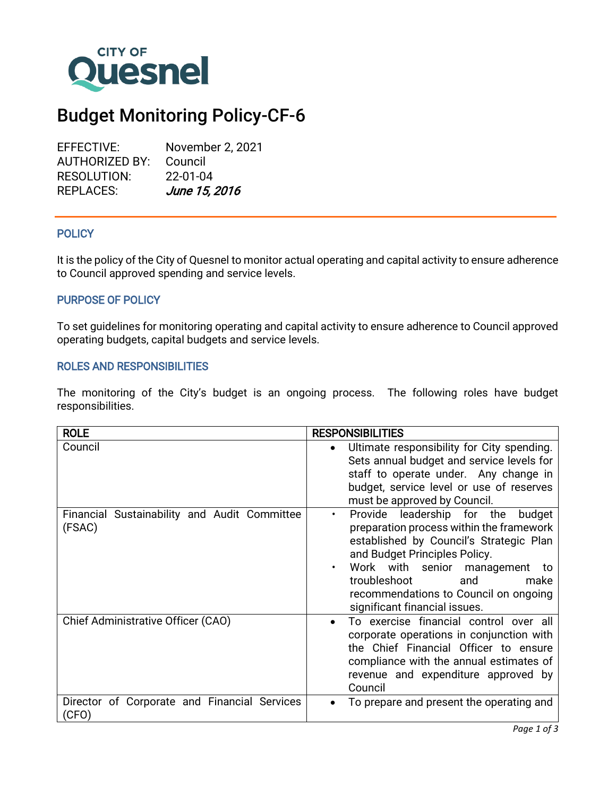

# Budget Monitoring Policy-CF-6

EFFECTIVE: November 2, 2021 AUTHORIZED BY: Council RESOLUTION: 22-01-04 REPLACES: June 15, 2016

#### Ī **POLICY**

It is the policy of the City of Quesnel to monitor actual operating and capital activity to ensure adherence to Council approved spending and service levels.

## PURPOSE OF POLICY

To set guidelines for monitoring operating and capital activity to ensure adherence to Council approved operating budgets, capital budgets and service levels.

## ROLES AND RESPONSIBILITIES

The monitoring of the City's budget is an ongoing process. The following roles have budget responsibilities.

| <b>ROLE</b>                                            | <b>RESPONSIBILITIES</b>                                                                                                                                                                                                                                                                                                      |
|--------------------------------------------------------|------------------------------------------------------------------------------------------------------------------------------------------------------------------------------------------------------------------------------------------------------------------------------------------------------------------------------|
| Council                                                | Ultimate responsibility for City spending.<br>Sets annual budget and service levels for<br>staff to operate under. Any change in<br>budget, service level or use of reserves<br>must be approved by Council.                                                                                                                 |
| Financial Sustainability and Audit Committee<br>(FSAC) | Provide leadership for the<br>budget<br>$\bullet$<br>preparation process within the framework<br>established by Council's Strategic Plan<br>and Budget Principles Policy.<br>Work with senior management<br>٠<br>to<br>troubleshoot<br>and<br>make<br>recommendations to Council on ongoing<br>significant financial issues. |
| Chief Administrative Officer (CAO)                     | To exercise financial control over all<br>corporate operations in conjunction with<br>the Chief Financial Officer to ensure<br>compliance with the annual estimates of<br>revenue and expenditure approved by<br>Council                                                                                                     |
| Director of Corporate and Financial Services<br>(CFO)  | To prepare and present the operating and                                                                                                                                                                                                                                                                                     |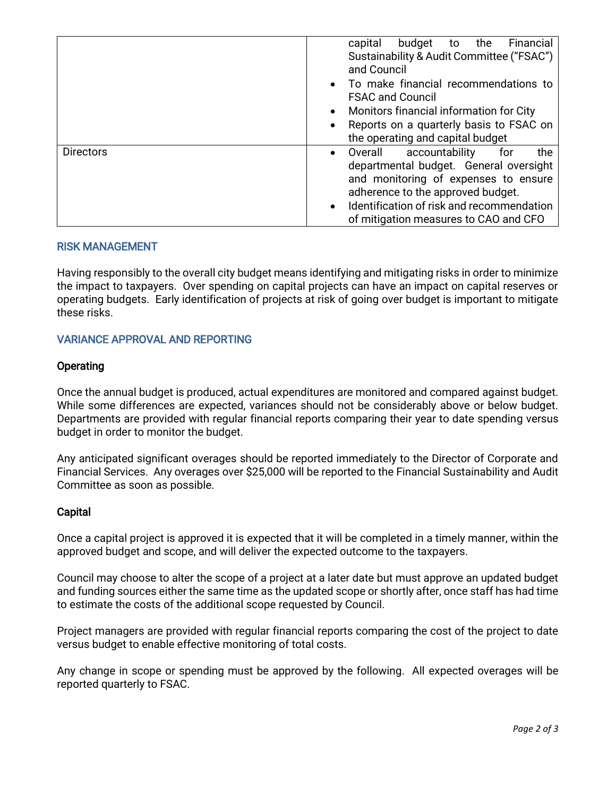|                  | Financial<br>capital<br>budget<br>the<br>to          |
|------------------|------------------------------------------------------|
|                  | Sustainability & Audit Committee ("FSAC")            |
|                  | and Council                                          |
|                  | • To make financial recommendations to               |
|                  | <b>FSAC and Council</b>                              |
|                  | Monitors financial information for City              |
|                  | Reports on a quarterly basis to FSAC on              |
|                  | the operating and capital budget                     |
| <b>Directors</b> | accountability<br>Overall<br>the<br>for<br>$\bullet$ |
|                  | departmental budget. General oversight               |
|                  | and monitoring of expenses to ensure                 |
|                  | adherence to the approved budget.                    |
|                  | Identification of risk and recommendation            |
|                  | of mitigation measures to CAO and CFO                |

## RISK MANAGEMENT

Having responsibly to the overall city budget means identifying and mitigating risks in order to minimize the impact to taxpayers. Over spending on capital projects can have an impact on capital reserves or operating budgets. Early identification of projects at risk of going over budget is important to mitigate these risks.

## VARIANCE APPROVAL AND REPORTING

#### Operating

Once the annual budget is produced, actual expenditures are monitored and compared against budget. While some differences are expected, variances should not be considerably above or below budget. Departments are provided with regular financial reports comparing their year to date spending versus budget in order to monitor the budget.

Any anticipated significant overages should be reported immediately to the Director of Corporate and Financial Services. Any overages over \$25,000 will be reported to the Financial Sustainability and Audit Committee as soon as possible.

#### **Capital**

Once a capital project is approved it is expected that it will be completed in a timely manner, within the approved budget and scope, and will deliver the expected outcome to the taxpayers.

Council may choose to alter the scope of a project at a later date but must approve an updated budget and funding sources either the same time as the updated scope or shortly after, once staff has had time to estimate the costs of the additional scope requested by Council.

Project managers are provided with regular financial reports comparing the cost of the project to date versus budget to enable effective monitoring of total costs.

Any change in scope or spending must be approved by the following. All expected overages will be reported quarterly to FSAC.